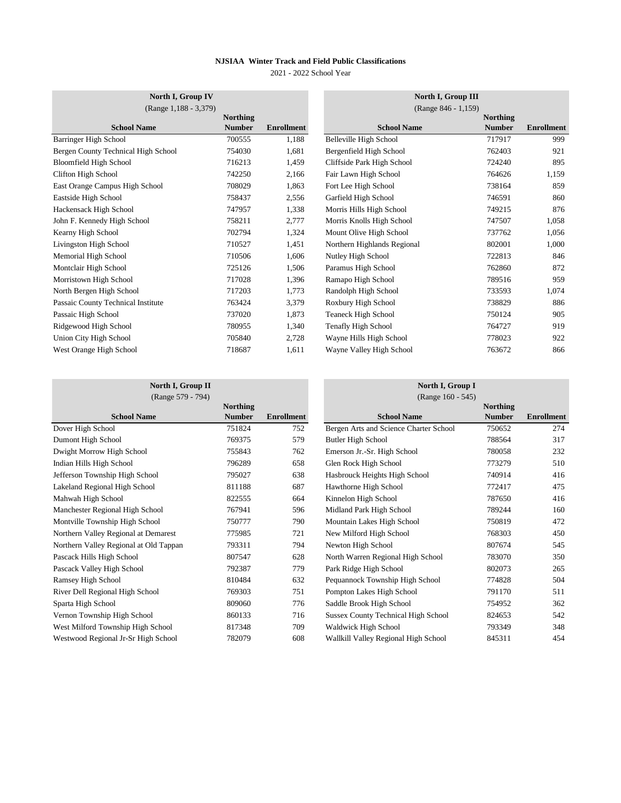2021 - 2022 School Year

| North I, Group IV                   |                 |                   | North I, Group III          |                 |                   |
|-------------------------------------|-----------------|-------------------|-----------------------------|-----------------|-------------------|
| (Range 1,188 - 3,379)               |                 |                   | (Range 846 - 1,159)         |                 |                   |
|                                     | <b>Northing</b> |                   |                             | <b>Northing</b> |                   |
| <b>School Name</b>                  | <b>Number</b>   | <b>Enrollment</b> | <b>School Name</b>          | <b>Number</b>   | <b>Enrollment</b> |
| Barringer High School               | 700555          | 1,188             | Belleville High School      | 717917          | 999               |
| Bergen County Technical High School | 754030          | 1,681             | Bergenfield High School     | 762403          | 921               |
| Bloomfield High School              | 716213          | 1,459             | Cliffside Park High School  | 724240          | 895               |
| Clifton High School                 | 742250          | 2,166             | Fair Lawn High School       | 764626          | 1,159             |
| East Orange Campus High School      | 708029          | 1,863             | Fort Lee High School        | 738164          | 859               |
| Eastside High School                | 758437          | 2,556             | Garfield High School        | 746591          | 860               |
| Hackensack High School              | 747957          | 1,338             | Morris Hills High School    | 749215          | 876               |
| John F. Kennedy High School         | 758211          | 2,777             | Morris Knolls High School   | 747507          | 1,058             |
| Kearny High School                  | 702794          | 1,324             | Mount Olive High School     | 737762          | 1,056             |
| Livingston High School              | 710527          | 1,451             | Northern Highlands Regional | 802001          | 1,000             |
| Memorial High School                | 710506          | 1,606             | Nutley High School          | 722813          | 846               |
| Montclair High School               | 725126          | 1,506             | Paramus High School         | 762860          | 872               |
| Morristown High School              | 717028          | 1,396             | Ramapo High School          | 789516          | 959               |
| North Bergen High School            | 717203          | 1,773             | Randolph High School        | 733593          | 1,074             |
| Passaic County Technical Institute  | 763424          | 3,379             | Roxbury High School         | 738829          | 886               |
| Passaic High School                 | 737020          | 1,873             | Teaneck High School         | 750124          | 905               |
| Ridgewood High School               | 780955          | 1,340             | <b>Tenafly High School</b>  | 764727          | 919               |
| Union City High School              | 705840          | 2,728             | Wayne Hills High School     | 778023          | 922               |
| West Orange High School             | 718687          | 1,611             | Wayne Valley High School    | 763672          | 866               |
|                                     |                 |                   |                             |                 |                   |

|          |                   | North I, Group III          |                 |                   |
|----------|-------------------|-----------------------------|-----------------|-------------------|
| Northing |                   | (Range 846 - 1,159)         | <b>Northing</b> |                   |
| Number   | <b>Enrollment</b> | <b>School Name</b>          | <b>Number</b>   | <b>Enrollment</b> |
| 700555   | 1,188             | Belleville High School      | 717917          | 999               |
| 754030   | 1,681             | Bergenfield High School     | 762403          | 921               |
| 716213   | 1,459             | Cliffside Park High School  | 724240          | 895               |
| 742250   | 2,166             | Fair Lawn High School       | 764626          | 1,159             |
| 708029   | 1,863             | Fort Lee High School        | 738164          | 859               |
| 758437   | 2,556             | Garfield High School        | 746591          | 860               |
| 747957   | 1,338             | Morris Hills High School    | 749215          | 876               |
| 758211   | 2,777             | Morris Knolls High School   | 747507          | 1,058             |
| 702794   | 1,324             | Mount Olive High School     | 737762          | 1,056             |
| 710527   | 1,451             | Northern Highlands Regional | 802001          | 1,000             |
| 710506   | 1,606             | Nutley High School          | 722813          | 846               |
| 725126   | 1,506             | Paramus High School         | 762860          | 872               |
| 717028   | 1,396             | Ramapo High School          | 789516          | 959               |
| 717203   | 1,773             | Randolph High School        | 733593          | 1,074             |
| 763424   | 3,379             | Roxbury High School         | 738829          | 886               |
| 737020   | 1,873             | <b>Teaneck High School</b>  | 750124          | 905               |
| 780955   | 1,340             | <b>Tenafly High School</b>  | 764727          | 919               |
| 705840   | 2,728             | Wayne Hills High School     | 778023          | 922               |
| 718687   | 1,611             | Wayne Valley High School    | 763672          | 866               |
|          |                   |                             |                 |                   |

**North I, Group II North I, Group I**  $(Range 579 - 794)$ 

| $\text{max}$ $J/T$ $\rightarrow$ $J/T$ |                 |            | $\frac{1}{2}$ (Kange 100 - $\frac{1}{2}$   |                 |                   |
|----------------------------------------|-----------------|------------|--------------------------------------------|-----------------|-------------------|
|                                        | <b>Northing</b> |            |                                            | <b>Northing</b> |                   |
| <b>School Name</b>                     | <b>Number</b>   | Enrollment | <b>School Name</b>                         | <b>Number</b>   | <b>Enrollment</b> |
| Dover High School                      | 751824          | 752        | Bergen Arts and Science Charter School     | 750652          | 274               |
| Dumont High School                     | 769375          | 579        | Butler High School                         | 788564          | 317               |
| Dwight Morrow High School              | 755843          | 762        | Emerson Jr.-Sr. High School                | 780058          | 232               |
| Indian Hills High School               | 796289          | 658        | Glen Rock High School                      | 773279          | 510               |
| Jefferson Township High School         | 795027          | 638        | Hasbrouck Heights High School              | 740914          | 416               |
| Lakeland Regional High School          | 811188          | 687        | Hawthorne High School                      | 772417          | 475               |
| Mahwah High School                     | 822555          | 664        | Kinnelon High School                       | 787650          | 416               |
| Manchester Regional High School        | 767941          | 596        | Midland Park High School                   | 789244          | 160               |
| Montville Township High School         | 750777          | 790        | Mountain Lakes High School                 | 750819          | 472               |
| Northern Valley Regional at Demarest   | 775985          | 721        | New Milford High School                    | 768303          | 450               |
| Northern Valley Regional at Old Tappan | 793311          | 794        | Newton High School                         | 807674          | 545               |
| Pascack Hills High School              | 807547          | 628        | North Warren Regional High School          | 783070          | 350               |
| Pascack Valley High School             | 792387          | 779        | Park Ridge High School                     | 802073          | 265               |
| Ramsey High School                     | 810484          | 632        | Pequannock Township High School            | 774828          | 504               |
| River Dell Regional High School        | 769303          | 751        | Pompton Lakes High School                  | 791170          | 511               |
| Sparta High School                     | 809060          | 776        | Saddle Brook High School                   | 754952          | 362               |
| Vernon Township High School            | 860133          | 716        | <b>Sussex County Technical High School</b> | 824653          | 542               |
| West Milford Township High School      | 817348          | 709        | Waldwick High School                       | 793349          | 348               |
| Westwood Regional Jr-Sr High School    | 782079          | 608        | Wallkill Valley Regional High School       | 845311          | 454               |

|          |                   | (Range 160 - 545)                          |                 |                   |
|----------|-------------------|--------------------------------------------|-----------------|-------------------|
| Northing |                   |                                            | <b>Northing</b> |                   |
| Number   | <b>Enrollment</b> | <b>School Name</b>                         | <b>Number</b>   | <b>Enrollment</b> |
| 751824   | 752               | Bergen Arts and Science Charter School     | 750652          | 274               |
| 769375   | 579               | Butler High School                         | 788564          | 317               |
| 755843   | 762               | Emerson Jr.-Sr. High School                | 780058          | 232               |
| 796289   | 658               | Glen Rock High School                      | 773279          | 510               |
| 795027   | 638               | Hasbrouck Heights High School              | 740914          | 416               |
| 811188   | 687               | Hawthorne High School                      | 772417          | 475               |
| 822555   | 664               | Kinnelon High School                       | 787650          | 416               |
| 767941   | 596               | Midland Park High School                   | 789244          | 160               |
| 750777   | 790               | Mountain Lakes High School                 | 750819          | 472               |
| 775985   | 721               | New Milford High School                    | 768303          | 450               |
| 793311   | 794               | Newton High School                         | 807674          | 545               |
| 807547   | 628               | North Warren Regional High School          | 783070          | 350               |
| 792387   | 779               | Park Ridge High School                     | 802073          | 265               |
| 810484   | 632               | Pequannock Township High School            | 774828          | 504               |
| 769303   | 751               | Pompton Lakes High School                  | 791170          | 511               |
| 809060   | 776               | Saddle Brook High School                   | 754952          | 362               |
| 860133   | 716               | <b>Sussex County Technical High School</b> | 824653          | 542               |
| 817348   | 709               | Waldwick High School                       | 793349          | 348               |
| 782079   | 608               | Wallkill Valley Regional High School       | 845311          | 454               |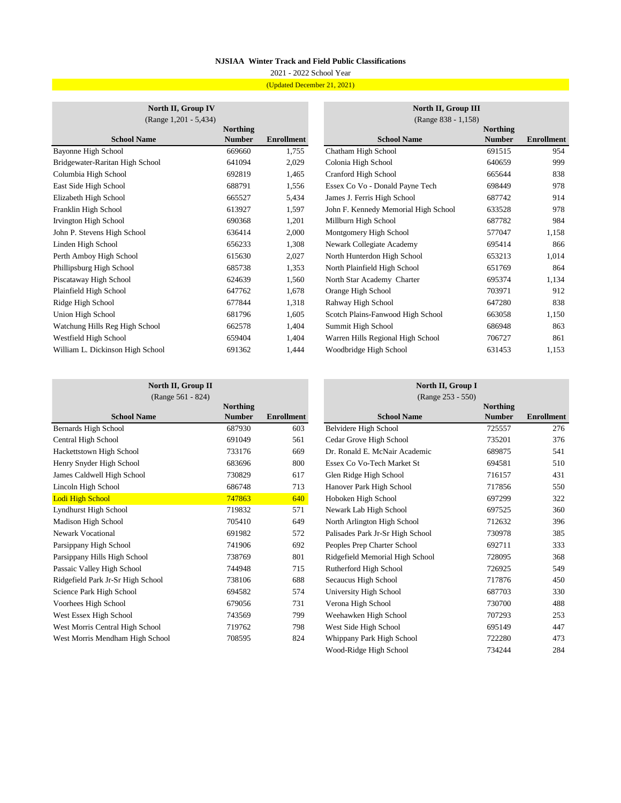# 2021 - 2022 School Year (Updated December 21, 2021)

### **North II, Group IV**  $(Range 1,201 - 5,434)$

| <b>Northing</b><br><b>Number</b><br>669660<br>641094<br>692819 | <b>Enrollment</b><br>1,755<br>2,029 | <b>School Name</b><br>Chatham High School<br>Colonia High School | <b>Northing</b><br><b>Number</b><br>691515 | <b>Enrollment</b><br>954 |
|----------------------------------------------------------------|-------------------------------------|------------------------------------------------------------------|--------------------------------------------|--------------------------|
|                                                                |                                     |                                                                  |                                            |                          |
|                                                                |                                     |                                                                  |                                            |                          |
|                                                                |                                     |                                                                  |                                            |                          |
|                                                                |                                     |                                                                  | 640659                                     | 999                      |
|                                                                | 1,465                               | Cranford High School                                             | 665644                                     | 838                      |
| 688791                                                         | 1,556                               | Essex Co Vo - Donald Payne Tech                                  | 698449                                     | 978                      |
| 665527                                                         | 5,434                               | James J. Ferris High School                                      | 687742                                     | 914                      |
| 613927                                                         | 1,597                               | John F. Kennedy Memorial High School                             | 633528                                     | 978                      |
| 690368                                                         | 1,201                               | Millburn High School                                             | 687782                                     | 984                      |
| 636414                                                         | 2,000                               | Montgomery High School                                           | 577047                                     | 1,158                    |
| 656233                                                         | 1,308                               | Newark Collegiate Academy                                        | 695414                                     | 866                      |
| 615630                                                         | 2,027                               | North Hunterdon High School                                      | 653213                                     | 1,014                    |
| 685738                                                         | 1,353                               | North Plainfield High School                                     | 651769                                     | 864                      |
| 624639                                                         | 1,560                               | North Star Academy Charter                                       | 695374                                     | 1,134                    |
| 647762                                                         | 1,678                               | Orange High School                                               | 703971                                     | 912                      |
| 677844                                                         | 1,318                               | Rahway High School                                               | 647280                                     | 838                      |
| 681796                                                         | 1,605                               | Scotch Plains-Fanwood High School                                | 663058                                     | 1,150                    |
| 662578                                                         | 1,404                               | Summit High School                                               | 686948                                     | 863                      |
| 659404                                                         | 1,404                               | Warren Hills Regional High School                                | 706727                                     | 861                      |
| 691362                                                         | 1,444                               | Woodbridge High School                                           | 631453                                     | 1,153                    |
|                                                                |                                     |                                                                  |                                            |                          |

|          |                   | North II, Group III                  |                 |                   |  |  |  |
|----------|-------------------|--------------------------------------|-----------------|-------------------|--|--|--|
|          |                   | (Range 838 - 1,158)                  |                 |                   |  |  |  |
| Northing |                   |                                      | <b>Northing</b> |                   |  |  |  |
| Number   | <b>Enrollment</b> | <b>School Name</b>                   | <b>Number</b>   | <b>Enrollment</b> |  |  |  |
| 669660   | 1,755             | Chatham High School                  | 691515          | 954               |  |  |  |
| 641094   | 2,029             | Colonia High School                  | 640659          | 999               |  |  |  |
| 692819   | 1,465             | Cranford High School                 | 665644          | 838               |  |  |  |
| 688791   | 1,556             | Essex Co Vo - Donald Payne Tech      | 698449          | 978               |  |  |  |
| 665527   | 5,434             | James J. Ferris High School          | 687742          | 914               |  |  |  |
| 613927   | 1,597             | John F. Kennedy Memorial High School | 633528          | 978               |  |  |  |
| 690368   | 1,201             | Millburn High School                 | 687782          | 984               |  |  |  |
| 636414   | 2,000             | Montgomery High School               | 577047          | 1,158             |  |  |  |
| 656233   | 1,308             | Newark Collegiate Academy            | 695414          | 866               |  |  |  |
| 615630   | 2,027             | North Hunterdon High School          | 653213          | 1,014             |  |  |  |
| 685738   | 1,353             | North Plainfield High School         | 651769          | 864               |  |  |  |
| 624639   | 1,560             | North Star Academy Charter           | 695374          | 1,134             |  |  |  |
| 647762   | 1,678             | Orange High School                   | 703971          | 912               |  |  |  |
| 677844   | 1,318             | Rahway High School                   | 647280          | 838               |  |  |  |
| 681796   | 1,605             | Scotch Plains-Fanwood High School    | 663058          | 1,150             |  |  |  |
| 662578   | 1,404             | Summit High School                   | 686948          | 863               |  |  |  |
| 659404   | 1,404             | Warren Hills Regional High School    | 706727          | 861               |  |  |  |
| 691362   | 1,444             | Woodbridge High School               | 631453          | 1,153             |  |  |  |
|          |                   |                                      |                 |                   |  |  |  |

# **School Name Northing Number Enrollment** Bernards High School 687930 603 Central High School 691049 561 Hackettstown High School 733176 669 Henry Snyder High School 683696 800 James Caldwell High School 730829 617 Lincoln High School 686748 713 Lodi High School 747863 640 Lyndhurst High School 719832 571 Madison High School 705410 649 Newark Vocational 691982 572 Parsippany High School 741906 692 Parsippany Hills High School 738769 801 Passaic Valley High School 744948 715 Ridgefield Park Jr-Sr High School 738106 688 Science Park High School 694582 574 Voorhees High School 679056 731 West Essex High School 743569 799 West Morris Central High School 719762 798 **North II, Group II North II, Group I** (Range 561 - 824)

West Morris Mendham High School 708595 824

| (Range 253 - 550)                |               |                   |  |  |  |  |  |
|----------------------------------|---------------|-------------------|--|--|--|--|--|
|                                  | Northing      |                   |  |  |  |  |  |
| <b>School Name</b>               | <b>Number</b> | <b>Enrollment</b> |  |  |  |  |  |
| Belvidere High School            | 725557        | 276               |  |  |  |  |  |
| Cedar Grove High School          | 735201        | 376               |  |  |  |  |  |
| Dr. Ronald E. McNair Academic    | 689875        | 541               |  |  |  |  |  |
| Essex Co Vo-Tech Market St       | 694581        | 510               |  |  |  |  |  |
| Glen Ridge High School           | 716157        | 431               |  |  |  |  |  |
| Hanover Park High School         | 717856        | 550               |  |  |  |  |  |
| Hoboken High School              | 697299        | 322               |  |  |  |  |  |
| Newark Lab High School           | 697525        | 360               |  |  |  |  |  |
| North Arlington High School      | 712632        | 396               |  |  |  |  |  |
| Palisades Park Jr-Sr High School | 730978        | 385               |  |  |  |  |  |
| Peoples Prep Charter School      | 692711        | 333               |  |  |  |  |  |
| Ridgefield Memorial High School  | 728095        | 368               |  |  |  |  |  |
| Rutherford High School           | 726925        | 549               |  |  |  |  |  |
| Secaucus High School             | 717876        | 450               |  |  |  |  |  |
| University High School           | 687703        | 330               |  |  |  |  |  |
| Verona High School               | 730700        | 488               |  |  |  |  |  |
| Weehawken High School            | 707293        | 253               |  |  |  |  |  |
| West Side High School            | 695149        | 447               |  |  |  |  |  |
| Whippany Park High School        | 722280        | 473               |  |  |  |  |  |
| Wood-Ridge High School           | 734244        | 284               |  |  |  |  |  |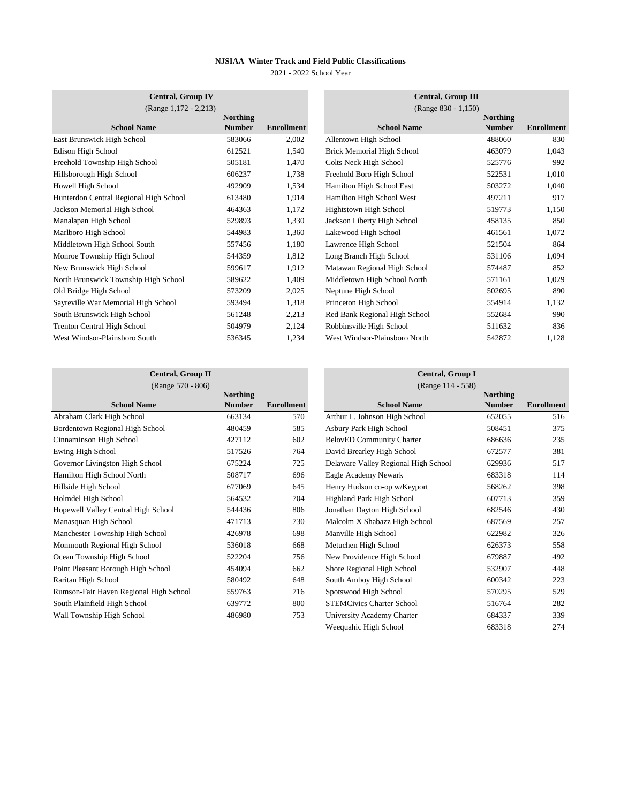2021 - 2022 School Year

| <b>Central, Group IV</b>               |                 |                   | <b>Central, Group III</b>         |                 |                   |
|----------------------------------------|-----------------|-------------------|-----------------------------------|-----------------|-------------------|
| (Range 1,172 - 2,213)                  |                 |                   | (Range 830 - 1,150)               |                 |                   |
|                                        | <b>Northing</b> |                   |                                   | <b>Northing</b> |                   |
| <b>School Name</b>                     | <b>Number</b>   | <b>Enrollment</b> | <b>School Name</b>                | <b>Number</b>   | <b>Enrollment</b> |
| East Brunswick High School             | 583066          | 2,002             | Allentown High School             | 488060          | 830               |
| Edison High School                     | 612521          | 1,540             | <b>Brick Memorial High School</b> | 463079          | 1,043             |
| Freehold Township High School          | 505181          | 1,470             | Colts Neck High School            | 525776          | 992               |
| Hillsborough High School               | 606237          | 1,738             | Freehold Boro High School         | 522531          | 1,010             |
| Howell High School                     | 492909          | 1,534             | Hamilton High School East         | 503272          | 1,040             |
| Hunterdon Central Regional High School | 613480          | 1,914             | Hamilton High School West         | 497211          | 917               |
| Jackson Memorial High School           | 464363          | 1,172             | Hightstown High School            | 519773          | 1,150             |
| Manalapan High School                  | 529893          | 1,330             | Jackson Liberty High School       | 458135          | 850               |
| Marlboro High School                   | 544983          | 1,360             | Lakewood High School              | 461561          | 1,072             |
| Middletown High School South           | 557456          | 1,180             | Lawrence High School              | 521504          | 864               |
| Monroe Township High School            | 544359          | 1,812             | Long Branch High School           | 531106          | 1,094             |
| New Brunswick High School              | 599617          | 1,912             | Matawan Regional High School      | 574487          | 852               |
| North Brunswick Township High School   | 589622          | 1,409             | Middletown High School North      | 571161          | 1,029             |
| Old Bridge High School                 | 573209          | 2,025             | Neptune High School               | 502695          | 890               |
| Sayreville War Memorial High School    | 593494          | 1,318             | Princeton High School             | 554914          | 1,132             |
| South Brunswick High School            | 561248          | 2,213             | Red Bank Regional High School     | 552684          | 990               |
| <b>Trenton Central High School</b>     | 504979          | 2,124             | Robbinsville High School          | 511632          | 836               |
| West Windsor-Plainsboro South          | 536345          | 1,234             | West Windsor-Plainsboro North     | 542872          | 1,128             |

|                    |                   | <b>Central, Group III</b><br>(Range 830 - 1,150) |                                  |                   |
|--------------------|-------------------|--------------------------------------------------|----------------------------------|-------------------|
| Northing<br>Number | <b>Enrollment</b> | <b>School Name</b>                               | <b>Northing</b><br><b>Number</b> | <b>Enrollment</b> |
| 583066             | 2,002             | Allentown High School                            | 488060                           | 830               |
| 612521             | 1,540             | <b>Brick Memorial High School</b>                | 463079                           | 1,043             |
| 505181             | 1,470             | Colts Neck High School                           | 525776                           | 992               |
| 606237             | 1,738             | Freehold Boro High School                        | 522531                           | 1,010             |
| 492909             | 1,534             | Hamilton High School East                        | 503272                           | 1,040             |
| 613480             | 1,914             | Hamilton High School West                        | 497211                           | 917               |
| 464363             | 1,172             | Hightstown High School                           | 519773                           | 1,150             |
| 529893             | 1,330             | Jackson Liberty High School                      | 458135                           | 850               |
| 544983             | 1,360             | Lakewood High School                             | 461561                           | 1,072             |
| 557456             | 1,180             | Lawrence High School                             | 521504                           | 864               |
| 544359             | 1,812             | Long Branch High School                          | 531106                           | 1,094             |
| 599617             | 1,912             | Matawan Regional High School                     | 574487                           | 852               |
| 589622             | 1,409             | Middletown High School North                     | 571161                           | 1,029             |
| 573209             | 2,025             | Neptune High School                              | 502695                           | 890               |
| 593494             | 1,318             | Princeton High School                            | 554914                           | 1,132             |
| 561248             | 2,213             | Red Bank Regional High School                    | 552684                           | 990               |
| 504979             | 2,124             | Robbinsville High School                         | 511632                           | 836               |
| 536345             | 1,234             | West Windsor-Plainsboro North                    | 542872                           | 1,128             |

# **Central, Group II Central, Group II Central, Group I Central, Group I Central, Group I Central, Group I** (Range 570 - 806)

|                                        | <b>Northing</b> |                   |                                      | <b>Northing</b> |                   |
|----------------------------------------|-----------------|-------------------|--------------------------------------|-----------------|-------------------|
| <b>School Name</b>                     | <b>Number</b>   | <b>Enrollment</b> | <b>School Name</b>                   | <b>Number</b>   | <b>Enrollment</b> |
| Abraham Clark High School              | 663134          | 570               | Arthur L. Johnson High School        | 652055          | 516               |
| Bordentown Regional High School        | 480459          | 585               | Asbury Park High School              | 508451          | 375               |
| Cinnaminson High School                | 427112          | 602               | <b>BelovED Community Charter</b>     | 686636          | 235               |
| Ewing High School                      | 517526          | 764               | David Brearley High School           | 672577          | 381               |
| Governor Livingston High School        | 675224          | 725               | Delaware Valley Regional High School | 629936          | 517               |
| Hamilton High School North             | 508717          | 696               | Eagle Academy Newark                 | 683318          | 114               |
| Hillside High School                   | 677069          | 645               | Henry Hudson co-op w/Keyport         | 568262          | 398               |
| Holmdel High School                    | 564532          | 704               | Highland Park High School            | 607713          | 359               |
| Hopewell Valley Central High School    | 544436          | 806               | Jonathan Dayton High School          | 682546          | 430               |
| Manasquan High School                  | 471713          | 730               | Malcolm X Shabazz High School        | 687569          | 257               |
| Manchester Township High School        | 426978          | 698               | Manville High School                 | 622982          | 326               |
| Monmouth Regional High School          | 536018          | 668               | Metuchen High School                 | 626373          | 558               |
| Ocean Township High School             | 522204          | 756               | New Providence High School           | 679887          | 492               |
| Point Pleasant Borough High School     | 454094          | 662               | Shore Regional High School           | 532907          | 448               |
| Raritan High School                    | 580492          | 648               | South Amboy High School              | 600342          | 223               |
| Rumson-Fair Haven Regional High School | 559763          | 716               | Spotswood High School                | 570295          | 529               |
| South Plainfield High School           | 639772          | 800               | <b>STEMCivics Charter School</b>     | 516764          | 282               |
| Wall Township High School              | 486980          | 753               | University Academy Charter           | 684337          | 339               |
|                                        |                 |                   |                                      |                 |                   |

|          |                   | $(Ra)$ $(0, 114 - 330)$              |                 |                   |
|----------|-------------------|--------------------------------------|-----------------|-------------------|
| Northing |                   |                                      | <b>Northing</b> |                   |
| Number   | <b>Enrollment</b> | <b>School Name</b>                   | <b>Number</b>   | <b>Enrollment</b> |
| 663134   | 570               | Arthur L. Johnson High School        | 652055          | 516               |
| 480459   | 585               | Asbury Park High School              | 508451          | 375               |
| 427112   | 602               | <b>BelovED Community Charter</b>     | 686636          | 235               |
| 517526   | 764               | David Brearley High School           | 672577          | 381               |
| 675224   | 725               | Delaware Valley Regional High School | 629936          | 517               |
| 508717   | 696               | Eagle Academy Newark                 | 683318          | 114               |
| 677069   | 645               | Henry Hudson co-op w/Keyport         | 568262          | 398               |
| 564532   | 704               | Highland Park High School            | 607713          | 359               |
| 544436   | 806               | Jonathan Dayton High School          | 682546          | 430               |
| 471713   | 730               | Malcolm X Shabazz High School        | 687569          | 257               |
| 426978   | 698               | Manville High School                 | 622982          | 326               |
| 536018   | 668               | Metuchen High School                 | 626373          | 558               |
| 522204   | 756               | New Providence High School           | 679887          | 492               |
| 454094   | 662               | Shore Regional High School           | 532907          | 448               |
| 580492   | 648               | South Amboy High School              | 600342          | 223               |
| 559763   | 716               | Spotswood High School                | 570295          | 529               |
| 639772   | 800               | <b>STEMCivics Charter School</b>     | 516764          | 282               |
| 486980   | 753               | University Academy Charter           | 684337          | 339               |
|          |                   | Weequahic High School                | 683318          | 274               |
|          |                   |                                      |                 |                   |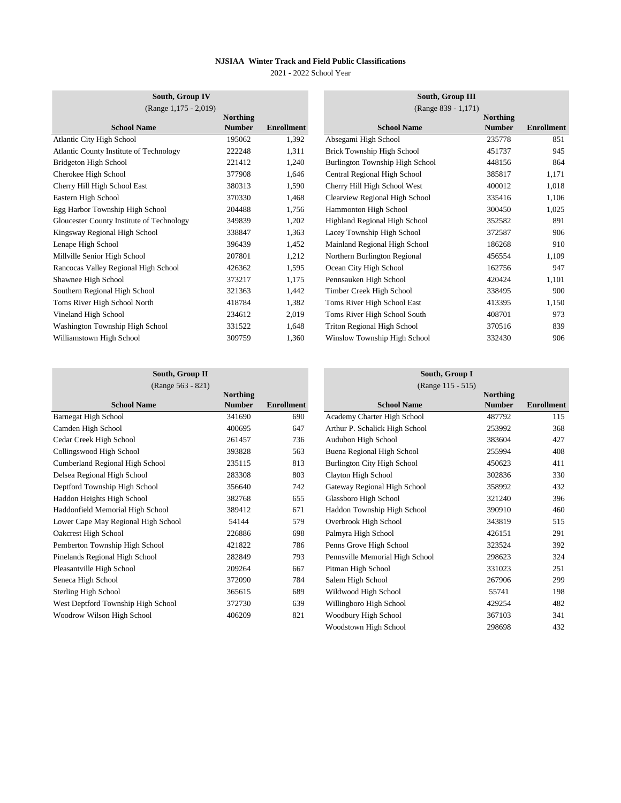2021 - 2022 School Year

| South, Group IV                           |                 |                   | South, Group III                   |                 |                   |
|-------------------------------------------|-----------------|-------------------|------------------------------------|-----------------|-------------------|
| (Range 1,175 - 2,019)                     |                 |                   | (Range 839 - 1,171)                |                 |                   |
|                                           | <b>Northing</b> |                   |                                    | <b>Northing</b> |                   |
| <b>School Name</b>                        | <b>Number</b>   | <b>Enrollment</b> | <b>School Name</b>                 | <b>Number</b>   | <b>Enrollment</b> |
| <b>Atlantic City High School</b>          | 195062          | 1,392             | Absegami High School               | 235778          | 851               |
| Atlantic County Institute of Technology   | 222248          | 1,311             | Brick Township High School         | 451737          | 945               |
| Bridgeton High School                     | 221412          | 1,240             | Burlington Township High School    | 448156          | 864               |
| Cherokee High School                      | 377908          | 1,646             | Central Regional High School       | 385817          | 1,171             |
| Cherry Hill High School East              | 380313          | 1,590             | Cherry Hill High School West       | 400012          | 1,018             |
| Eastern High School                       | 370330          | 1,468             | Clearview Regional High School     | 335416          | 1,106             |
| Egg Harbor Township High School           | 204488          | 1,756             | Hammonton High School              | 300450          | 1,025             |
| Gloucester County Institute of Technology | 349839          | 1,202             | Highland Regional High School      | 352582          | 891               |
| Kingsway Regional High School             | 338847          | 1,363             | Lacey Township High School         | 372587          | 906               |
| Lenape High School                        | 396439          | 1,452             | Mainland Regional High School      | 186268          | 910               |
| Millville Senior High School              | 207801          | 1,212             | Northern Burlington Regional       | 456554          | 1,109             |
| Rancocas Valley Regional High School      | 426362          | 1,595             | Ocean City High School             | 162756          | 947               |
| Shawnee High School                       | 373217          | 1,175             | Pennsauken High School             | 420424          | 1,101             |
| Southern Regional High School             | 321363          | 1,442             | Timber Creek High School           | 338495          | 900               |
| Toms River High School North              | 418784          | 1,382             | Toms River High School East        | 413395          | 1,150             |
| Vineland High School                      | 234612          | 2,019             | Toms River High School South       | 408701          | 973               |
| Washington Township High School           | 331522          | 1,648             | <b>Triton Regional High School</b> | 370516          | 839               |
| Williamstown High School                  | 309759          | 1,360             | Winslow Township High School       | 332430          | 906               |

|                                     | <b>Northing</b> |                   |
|-------------------------------------|-----------------|-------------------|
| <b>School Name</b>                  | <b>Number</b>   | <b>Enrollment</b> |
| <b>Barnegat High School</b>         | 341690          | 690               |
| Camden High School                  | 400695          | 647               |
| Cedar Creek High School             | 261457          | 736               |
| Collingswood High School            | 393828          | 563               |
| Cumberland Regional High School     | 235115          | 813               |
| Delsea Regional High School         | 283308          | 803               |
| Deptford Township High School       | 356640          | 742               |
| Haddon Heights High School          | 382768          | 655               |
| Haddonfield Memorial High School    | 389412          | 671               |
| Lower Cape May Regional High School | 54144           | 579               |
| Oakcrest High School                | 226886          | 698               |
| Pemberton Township High School      | 421822          | 786               |
| Pinelands Regional High School      | 282849          | 793               |
| Pleasantville High School           | 209264          | 667               |
| Seneca High School                  | 372090          | 784               |
| Sterling High School                | 365615          | 689               |
| West Deptford Township High School  | 372730          | 639               |
| Woodrow Wilson High School          | 406209          | 821               |
|                                     |                 |                   |

# **School Name Northing Number Enrollment**  Academy Charter High School 487792 115 Arthur P. Schalick High School 253992 368 Audubon High School 283604 27 Buena Regional High School 255994 408 Burlington City High School 250623 411 Clayton High School 202836 330 Gateway Regional High School 358992 432 Glassboro High School 321240 396 Haddon Township High School 390910 460 **South, Group II South, Group I** (Range 563 - 821) (Range 115 - 515)

Overbrook High School 515 Palmyra High School 291 Penns Grove High School 323524 392 Pennsville Memorial High School 298623 324 Pitman High School 251 251 Salem High School 267906 299 Wildwood High School 35741 198 Willingboro High School 329254 482 Woodbury High School 367103 341 Woodstown High School 298698 432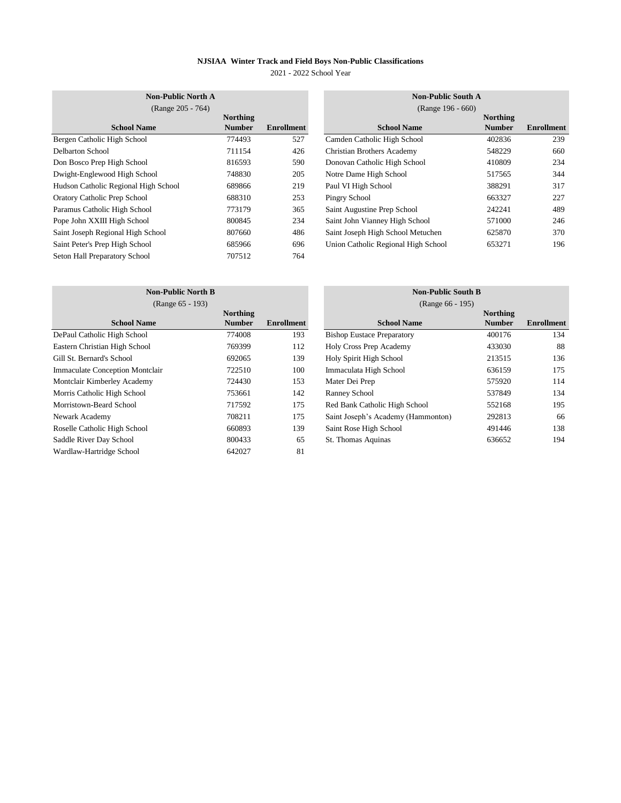2021 - 2022 School Year

| <b>Non-Public North A</b>            |                 |                   | <b>Non-Public South A</b>           |                   |                   |  |
|--------------------------------------|-----------------|-------------------|-------------------------------------|-------------------|-------------------|--|
| (Range 205 - 764)                    |                 |                   |                                     | (Range 196 - 660) |                   |  |
|                                      | <b>Northing</b> |                   |                                     | <b>Northing</b>   |                   |  |
| <b>School Name</b>                   | <b>Number</b>   | <b>Enrollment</b> | <b>School Name</b>                  | <b>Number</b>     | <b>Enrollment</b> |  |
| Bergen Catholic High School          | 774493          | 527               | Camden Catholic High School         | 402836            | 239               |  |
| Delbarton School                     | 711154          | 426               | <b>Christian Brothers Academy</b>   | 548229            | 660               |  |
| Don Bosco Prep High School           | 816593          | 590               | Donovan Catholic High School        | 410809            | 234               |  |
| Dwight-Englewood High School         | 748830          | 205               | Notre Dame High School              | 517565            | 344               |  |
| Hudson Catholic Regional High School | 689866          | 219               | Paul VI High School                 | 388291            | 317               |  |
| <b>Oratory Catholic Prep School</b>  | 688310          | 253               | Pingry School                       | 663327            | 227               |  |
| Paramus Catholic High School         | 773179          | 365               | Saint Augustine Prep School         | 242241            | 489               |  |
| Pope John XXIII High School          | 800845          | 234               | Saint John Vianney High School      | 571000            | 246               |  |
| Saint Joseph Regional High School    | 807660          | 486               | Saint Joseph High School Metuchen   | 625870            | 370               |  |
| Saint Peter's Prep High School       | 685966          | 696               | Union Catholic Regional High School | 653271            | 196               |  |
| Seton Hall Preparatory School        | 707512          | 764               |                                     |                   |                   |  |

|          |                   | <b>Non-Public South A</b><br>(Range 196 - 660) |                 |                   |
|----------|-------------------|------------------------------------------------|-----------------|-------------------|
| Northing |                   |                                                | <b>Northing</b> |                   |
| Number   | <b>Enrollment</b> | <b>School Name</b>                             | <b>Number</b>   | <b>Enrollment</b> |
| 774493   | 527               | Camden Catholic High School                    | 402836          | 239               |
| 711154   | 426               | <b>Christian Brothers Academy</b>              | 548229          | 660               |
| 816593   | 590               | Donovan Catholic High School                   | 410809          | 234               |
| 748830   | 205               | Notre Dame High School                         | 517565          | 344               |
| 689866   | 219               | Paul VI High School                            | 388291          | 317               |
| 688310   | 253               | Pingry School                                  | 663327          | 227               |
| 773179   | 365               | Saint Augustine Prep School                    | 242241          | 489               |
| 800845   | 234               | Saint John Vianney High School                 | 571000          | 246               |
| 807660   | 486               | Saint Joseph High School Metuchen              | 625870          | 370               |
| 685966   | 696               | Union Catholic Regional High School            | 653271          | 196               |

| <b>Non-Public North B</b><br>(Range 65 - 193) |                 |                   | <b>Non-Public South B</b><br>(Range 66 - 195) |                 |                   |  |
|-----------------------------------------------|-----------------|-------------------|-----------------------------------------------|-----------------|-------------------|--|
|                                               | <b>Northing</b> |                   |                                               | <b>Northing</b> |                   |  |
| <b>School Name</b>                            | <b>Number</b>   | <b>Enrollment</b> | <b>School Name</b>                            | <b>Number</b>   | <b>Enrollment</b> |  |
| DePaul Catholic High School                   | 774008          | 193               | <b>Bishop Eustace Preparatory</b>             | 400176          | 134               |  |
| Eastern Christian High School                 | 769399          | 112               | Holy Cross Prep Academy                       | 433030          | 88                |  |
| Gill St. Bernard's School                     | 692065          | 139               | Holy Spirit High School                       | 213515          | 136               |  |
| <b>Immaculate Conception Montclair</b>        | 722510          | 100               | Immaculata High School                        | 636159          | 175               |  |
| Montclair Kimberley Academy                   | 724430          | 153               | Mater Dei Prep                                | 575920          | 114               |  |
| Morris Catholic High School                   | 753661          | 142               | Ranney School                                 | 537849          | 134               |  |
| Morristown-Beard School                       | 717592          | 175               | Red Bank Catholic High School                 | 552168          | 195               |  |
| Newark Academy                                | 708211          | 175               | Saint Joseph's Academy (Hammonton)            | 292813          | 66                |  |
| Roselle Catholic High School                  | 660893          | 139               | Saint Rose High School                        | 491446          | 138               |  |
| Saddle River Day School                       | 800433          | 65                | St. Thomas Aquinas                            | 636652          | 194               |  |
| Wardlaw-Hartridge School                      | 642027          | 81                |                                               |                 |                   |  |

|          |                   | <b>Non-Public South B</b>          |               |                   |
|----------|-------------------|------------------------------------|---------------|-------------------|
|          |                   | (Range 66 - 195)                   |               |                   |
| Northing |                   |                                    | Northing      |                   |
| Number   | <b>Enrollment</b> | <b>School Name</b>                 | <b>Number</b> | <b>Enrollment</b> |
| 774008   | 193               | <b>Bishop Eustace Preparatory</b>  | 400176        | 134               |
| 769399   | 112               | Holy Cross Prep Academy            | 433030        | 88                |
| 692065   | 139               | Holy Spirit High School            | 213515        | 136               |
| 722510   | 100               | Immaculata High School             | 636159        | 175               |
| 724430   | 153               | Mater Dei Prep                     | 575920        | 114               |
| 753661   | 142               | Ranney School                      | 537849        | 134               |
| 717592   | 175               | Red Bank Catholic High School      | 552168        | 195               |
| 708211   | 175               | Saint Joseph's Academy (Hammonton) | 292813        | 66                |
| 660893   | 139               | Saint Rose High School             | 491446        | 138               |
| 800433   | 65                | St. Thomas Aquinas                 | 636652        | 194               |
|          |                   |                                    |               |                   |